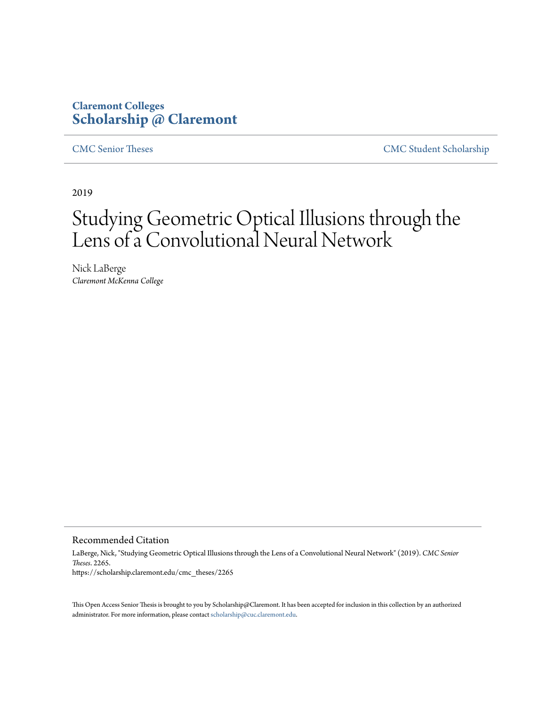### **Claremont Colleges [Scholarship @ Claremont](https://scholarship.claremont.edu)**

[CMC Senior Theses](https://scholarship.claremont.edu/cmc_theses) [CMC Student Scholarship](https://scholarship.claremont.edu/cmc_student)

2019

### Studying Geometric Optical Illusions through the Lens of a Convolutional Neural Network

Nick LaBerge *Claremont McKenna College*

Recommended Citation

LaBerge, Nick, "Studying Geometric Optical Illusions through the Lens of a Convolutional Neural Network" (2019). *CMC Senior Theses*. 2265. https://scholarship.claremont.edu/cmc\_theses/2265

This Open Access Senior Thesis is brought to you by Scholarship@Claremont. It has been accepted for inclusion in this collection by an authorized administrator. For more information, please contact [scholarship@cuc.claremont.edu.](mailto:scholarship@cuc.claremont.edu)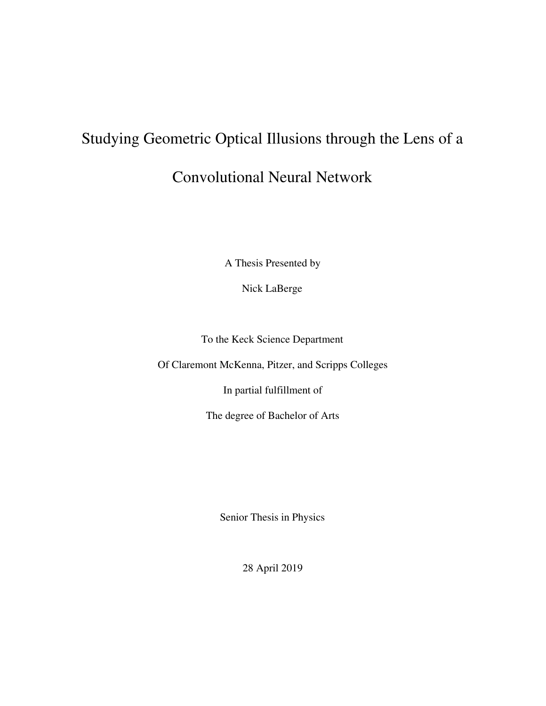# Studying Geometric Optical Illusions through the Lens of a Convolutional Neural Network

A Thesis Presented by

Nick LaBerge

To the Keck Science Department

Of Claremont McKenna, Pitzer, and Scripps Colleges

In partial fulfillment of

The degree of Bachelor of Arts

Senior Thesis in Physics

28 April 2019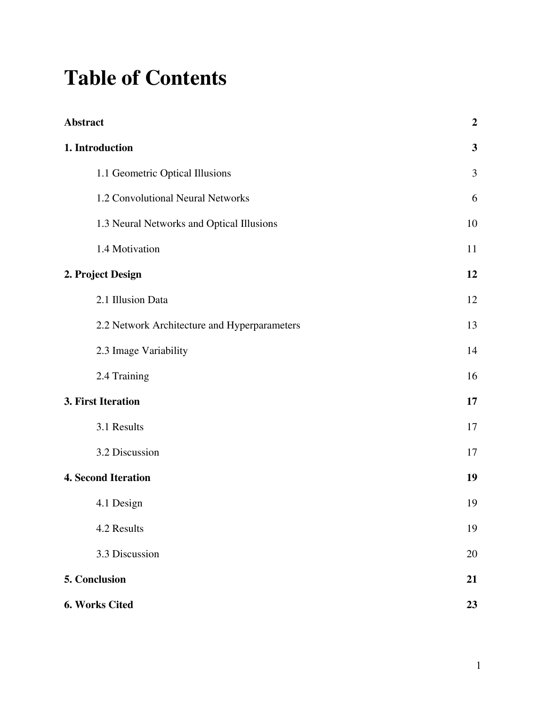## **Table of Contents**

| <b>Abstract</b>                              | $\boldsymbol{2}$ |
|----------------------------------------------|------------------|
| 1. Introduction                              | 3                |
| 1.1 Geometric Optical Illusions              | 3                |
| 1.2 Convolutional Neural Networks            | 6                |
| 1.3 Neural Networks and Optical Illusions    | 10               |
| 1.4 Motivation                               | 11               |
| 2. Project Design                            | 12               |
| 2.1 Illusion Data                            | 12               |
| 2.2 Network Architecture and Hyperparameters | 13               |
| 2.3 Image Variability                        | 14               |
| 2.4 Training                                 | 16               |
| 3. First Iteration                           | 17               |
| 3.1 Results                                  | 17               |
| 3.2 Discussion                               | 17               |
| <b>4. Second Iteration</b>                   | 19               |
| 4.1 Design                                   | 19               |
| 4.2 Results                                  | 19               |
| 3.3 Discussion                               | 20               |
| 5. Conclusion                                | 21               |
| 6. Works Cited                               | 23               |

1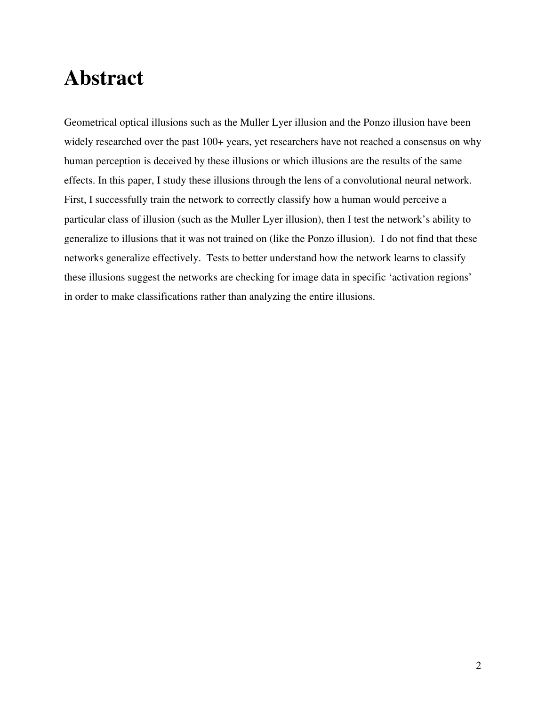### **Abstract**

Geometrical optical illusions such as the Muller Lyer illusion and the Ponzo illusion have been widely researched over the past 100+ years, yet researchers have not reached a consensus on why human perception is deceived by these illusions or which illusions are the results of the same effects. In this paper, I study these illusions through the lens of a convolutional neural network. First, I successfully train the network to correctly classify how a human would perceive a particular class of illusion (such as the Muller Lyer illusion), then I test the network's ability to generalize to illusions that it was not trained on (like the Ponzo illusion). I do not find that these networks generalize effectively. Tests to better understand how the network learns to classify these illusions suggest the networks are checking for image data in specific 'activation regions' in order to make classifications rather than analyzing the entire illusions.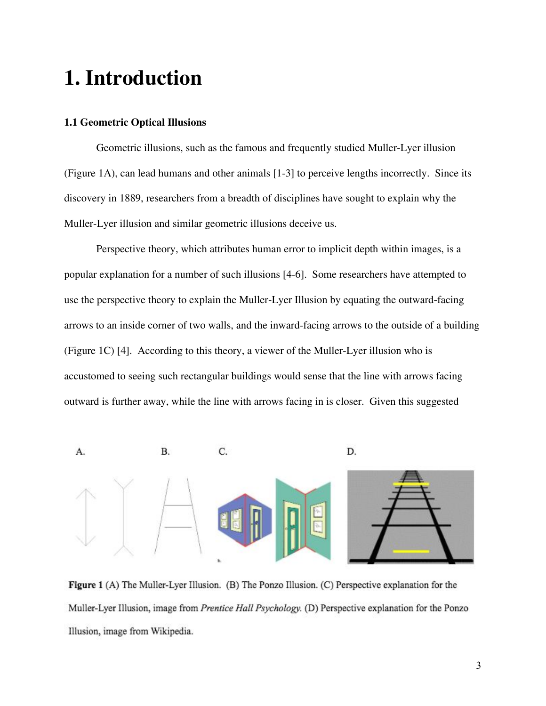### **1. Introduction**

#### **1.1 Geometric Optical Illusions**

Geometric illusions, such as the famous and frequently studied Muller-Lyer illusion (Figure 1A), can lead humans and other animals [1-3] to perceive lengths incorrectly. Since its discovery in 1889, researchers from a breadth of disciplines have sought to explain why the Muller-Lyer illusion and similar geometric illusions deceive us.

Perspective theory, which attributes human error to implicit depth within images, is a popular explanation for a number of such illusions [4-6]. Some researchers have attempted to use the perspective theory to explain the Muller-Lyer Illusion by equating the outward-facing arrows to an inside corner of two walls, and the inward-facing arrows to the outside of a building (Figure 1C) [4]. According to this theory, a viewer of the Muller-Lyer illusion who is accustomed to seeing such rectangular buildings would sense that the line with arrows facing outward is further away, while the line with arrows facing in is closer. Given this suggested



Figure 1 (A) The Muller-Lyer Illusion. (B) The Ponzo Illusion. (C) Perspective explanation for the Muller-Lyer Illusion, image from Prentice Hall Psychology. (D) Perspective explanation for the Ponzo Illusion, image from Wikipedia.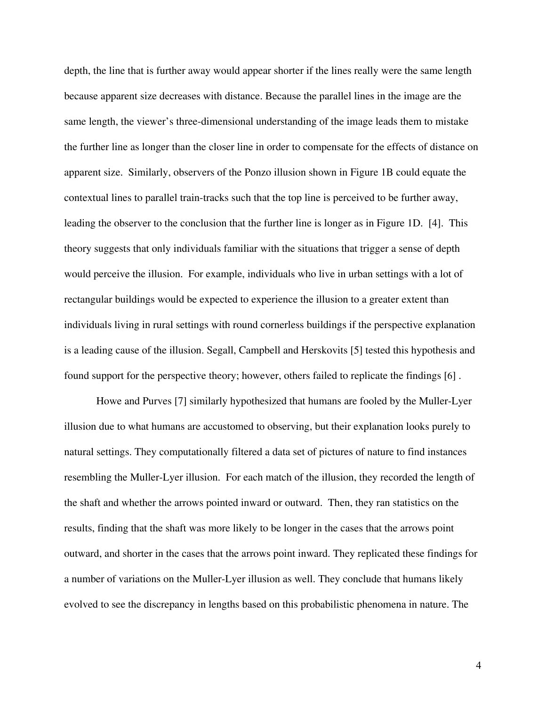depth, the line that is further away would appear shorter if the lines really were the same length because apparent size decreases with distance. Because the parallel lines in the image are the same length, the viewer's three-dimensional understanding of the image leads them to mistake the further line as longer than the closer line in order to compensate for the effects of distance on apparent size. Similarly, observers of the Ponzo illusion shown in Figure 1B could equate the contextual lines to parallel train-tracks such that the top line is perceived to be further away, leading the observer to the conclusion that the further line is longer as in Figure 1D. [4]. This theory suggests that only individuals familiar with the situations that trigger a sense of depth would perceive the illusion. For example, individuals who live in urban settings with a lot of rectangular buildings would be expected to experience the illusion to a greater extent than individuals living in rural settings with round cornerless buildings if the perspective explanation is a leading cause of the illusion. Segall, Campbell and Herskovits [5] tested this hypothesis and found support for the perspective theory; however, others failed to replicate the findings [6] .

Howe and Purves [7] similarly hypothesized that humans are fooled by the Muller-Lyer illusion due to what humans are accustomed to observing, but their explanation looks purely to natural settings. They computationally filtered a data set of pictures of nature to find instances resembling the Muller-Lyer illusion. For each match of the illusion, they recorded the length of the shaft and whether the arrows pointed inward or outward. Then, they ran statistics on the results, finding that the shaft was more likely to be longer in the cases that the arrows point outward, and shorter in the cases that the arrows point inward. They replicated these findings for a number of variations on the Muller-Lyer illusion as well. They conclude that humans likely evolved to see the discrepancy in lengths based on this probabilistic phenomena in nature. The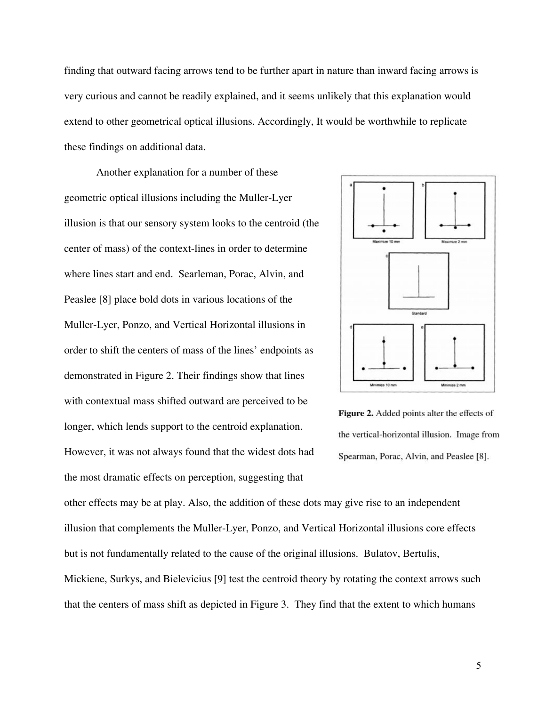finding that outward facing arrows tend to be further apart in nature than inward facing arrows is very curious and cannot be readily explained, and it seems unlikely that this explanation would extend to other geometrical optical illusions. Accordingly, It would be worthwhile to replicate these findings on additional data.

Another explanation for a number of these geometric optical illusions including the Muller-Lyer illusion is that our sensory system looks to the centroid (the center of mass) of the context-lines in order to determine where lines start and end. Searleman, Porac, Alvin, and Peaslee [8] place bold dots in various locations of the Muller-Lyer, Ponzo, and Vertical Horizontal illusions in order to shift the centers of mass of the lines' endpoints as demonstrated in Figure 2. Their findings show that lines with contextual mass shifted outward are perceived to be longer, which lends support to the centroid explanation. However, it was not always found that the widest dots had the most dramatic effects on perception, suggesting that





other effects may be at play. Also, the addition of these dots may give rise to an independent illusion that complements the Muller-Lyer, Ponzo, and Vertical Horizontal illusions core effects but is not fundamentally related to the cause of the original illusions. Bulatov, Bertulis, Mickiene, Surkys, and Bielevicius [9] test the centroid theory by rotating the context arrows such that the centers of mass shift as depicted in Figure 3. They find that the extent to which humans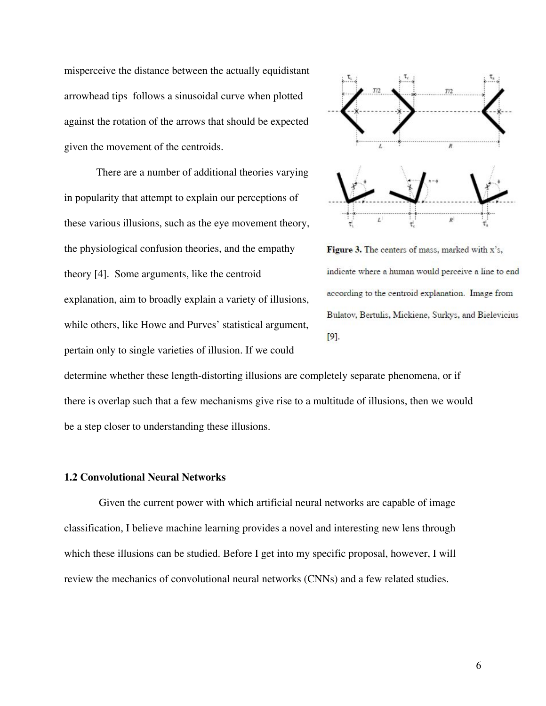misperceive the distance between the actually equidistant arrowhead tips follows a sinusoidal curve when plotted against the rotation of the arrows that should be expected given the movement of the centroids.

There are a number of additional theories varying in popularity that attempt to explain our perceptions of these various illusions, such as the eye movement theory, the physiological confusion theories, and the empathy theory [4]. Some arguments, like the centroid explanation, aim to broadly explain a variety of illusions, while others, like Howe and Purves' statistical argument, pertain only to single varieties of illusion. If we could



Figure 3. The centers of mass, marked with x's, indicate where a human would perceive a line to end according to the centroid explanation. Image from Bulatov, Bertulis, Mickiene, Surkys, and Bielevicius  $[9]$ .

determine whether these length-distorting illusions are completely separate phenomena, or if there is overlap such that a few mechanisms give rise to a multitude of illusions, then we would be a step closer to understanding these illusions.

#### **1.2 Convolutional Neural Networks**

Given the current power with which artificial neural networks are capable of image classification, I believe machine learning provides a novel and interesting new lens through which these illusions can be studied. Before I get into my specific proposal, however, I will review the mechanics of convolutional neural networks (CNNs) and a few related studies.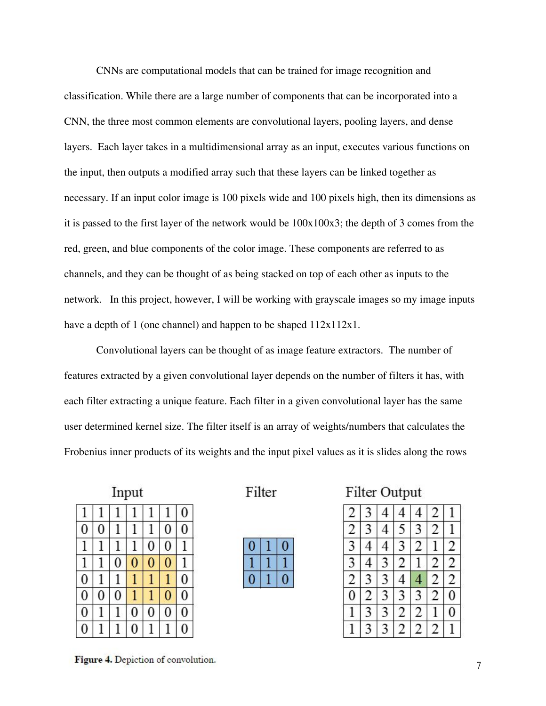CNNs are computational models that can be trained for image recognition and classification. While there are a large number of components that can be incorporated into a CNN, the three most common elements are convolutional layers, pooling layers, and dense layers. Each layer takes in a multidimensional array as an input, executes various functions on the input, then outputs a modified array such that these layers can be linked together as necessary. If an input color image is 100 pixels wide and 100 pixels high, then its dimensions as it is passed to the first layer of the network would be 100x100x3; the depth of 3 comes from the red, green, and blue components of the color image. These components are referred to as channels, and they can be thought of as being stacked on top of each other as inputs to the network. In this project, however, I will be working with grayscale images so my image inputs have a depth of 1 (one channel) and happen to be shaped  $112x112x1$ .

Convolutional layers can be thought of as image feature extractors. The number of features extracted by a given convolutional layer depends on the number of filters it has, with each filter extracting a unique feature. Each filter in a given convolutional layer has the same user determined kernel size. The filter itself is an array of weights/numbers that calculates the Frobenius inner products of its weights and the input pixel values as it is slides along the rows

| Input            |   |                |   |          |                |   |
|------------------|---|----------------|---|----------|----------------|---|
| 1                | 1 |                |   |          |                | 0 |
| 0                | 0 |                |   | 1        | 0              | 0 |
| 1                | 1 | l              |   | $\bf{0}$ | $\bf{0}$       | 1 |
| 1                | 1 | $\overline{0}$ | 0 | 0        | $\overline{0}$ | 1 |
| $\boldsymbol{0}$ | 1 | 1              |   | 1        | 1              | 0 |
| $\overline{0}$   | 0 | $\overline{0}$ |   | 1        | $\overline{0}$ | O |
| $\mathbf{0}$     | 1 |                | 0 | 0        | $\bf{0}$       | 0 |
| 0                |   |                |   |          |                | 0 |

Filter

Filter Output

| 2              | 3              | 4              | 5              | 3              | $\overline{c}$ | 1                       |
|----------------|----------------|----------------|----------------|----------------|----------------|-------------------------|
| 3              | 4              |                | $\overline{3}$ | $\overline{c}$ |                | $\overline{\mathbf{c}}$ |
| $\overline{3}$ | 4              | 3              | $\overline{2}$ |                | $\overline{c}$ | $\overline{2}$          |
| $\overline{2}$ | 3              | 3              | 4              |                | $\overline{2}$ | $\overline{2}$          |
| $\overline{0}$ | $\overline{c}$ | $\overline{3}$ | $\overline{3}$ | 3              | $\overline{2}$ | $\overline{0}$          |
|                | 3              | 3              | $\overline{2}$ | 2              |                | $\overline{0}$          |
|                | 3              | 3              | 2              | 2              | 2              |                         |

Figure 4. Depiction of convolution.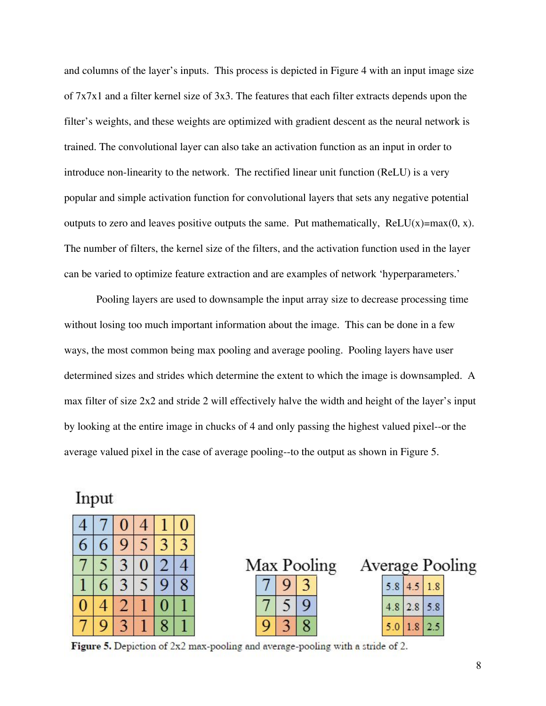and columns of the layer's inputs. This process is depicted in Figure 4 with an input image size of 7x7x1 and a filter kernel size of 3x3. The features that each filter extracts depends upon the filter's weights, and these weights are optimized with gradient descent as the neural network is trained. The convolutional layer can also take an activation function as an input in order to introduce non-linearity to the network. The rectified linear unit function (ReLU) is a very popular and simple activation function for convolutional layers that sets any negative potential outputs to zero and leaves positive outputs the same. Put mathematically,  $ReLU(x)=max(0, x)$ . The number of filters, the kernel size of the filters, and the activation function used in the layer can be varied to optimize feature extraction and are examples of network 'hyperparameters.'

Pooling layers are used to downsample the input array size to decrease processing time without losing too much important information about the image. This can be done in a few ways, the most common being max pooling and average pooling. Pooling layers have user determined sizes and strides which determine the extent to which the image is downsampled. A max filter of size 2x2 and stride 2 will effectively halve the width and height of the layer's input by looking at the entire image in chucks of 4 and only passing the highest valued pixel--or the average valued pixel in the case of average pooling--to the output as shown in Figure 5.

Input

|   | U |   |   |   |
|---|---|---|---|---|
| 6 | ς |   |   |   |
|   | 3 | U |   |   |
| 6 |   | 5 | g | 8 |
|   |   |   | 0 |   |
|   |   |   | 8 |   |

Max Pooling 3 5 9 8

|  |               | Average Pooling |
|--|---------------|-----------------|
|  | 5.8 4.5 1.8   |                 |
|  | $4.8$ 2.8 5.8 |                 |
|  | $5.0$ 1.8 2.5 |                 |

**Figure 5.** Depiction of  $2x2$  max-pooling and average-pooling with a stride of 2.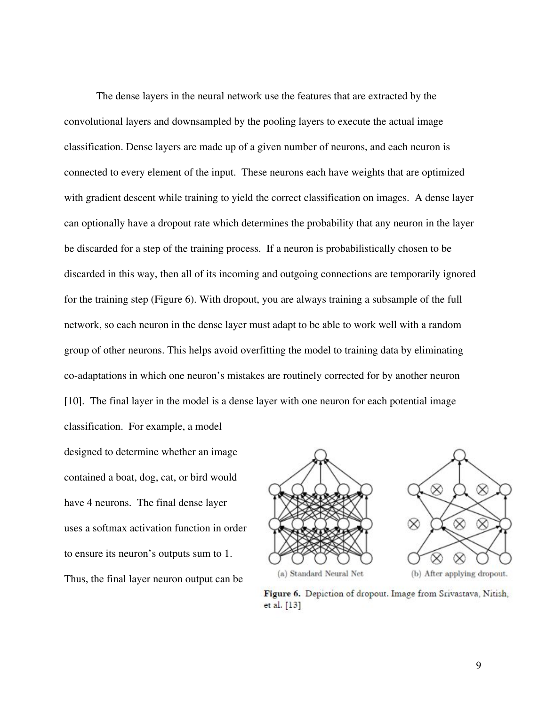The dense layers in the neural network use the features that are extracted by the convolutional layers and downsampled by the pooling layers to execute the actual image classification. Dense layers are made up of a given number of neurons, and each neuron is connected to every element of the input. These neurons each have weights that are optimized with gradient descent while training to yield the correct classification on images. A dense layer can optionally have a dropout rate which determines the probability that any neuron in the layer be discarded for a step of the training process. If a neuron is probabilistically chosen to be discarded in this way, then all of its incoming and outgoing connections are temporarily ignored for the training step (Figure 6). With dropout, you are always training a subsample of the full network, so each neuron in the dense layer must adapt to be able to work well with a random group of other neurons. This helps avoid overfitting the model to training data by eliminating co-adaptations in which one neuron's mistakes are routinely corrected for by another neuron [10]. The final layer in the model is a dense layer with one neuron for each potential image classification. For example, a model

designed to determine whether an image contained a boat, dog, cat, or bird would have 4 neurons. The final dense layer uses a softmax activation function in order to ensure its neuron's outputs sum to 1. Thus, the final layer neuron output can be



(b) After applying dropout.

 $\otimes$ 

Figure 6. Depiction of dropout. Image from Srivastava, Nitish, et al. [13]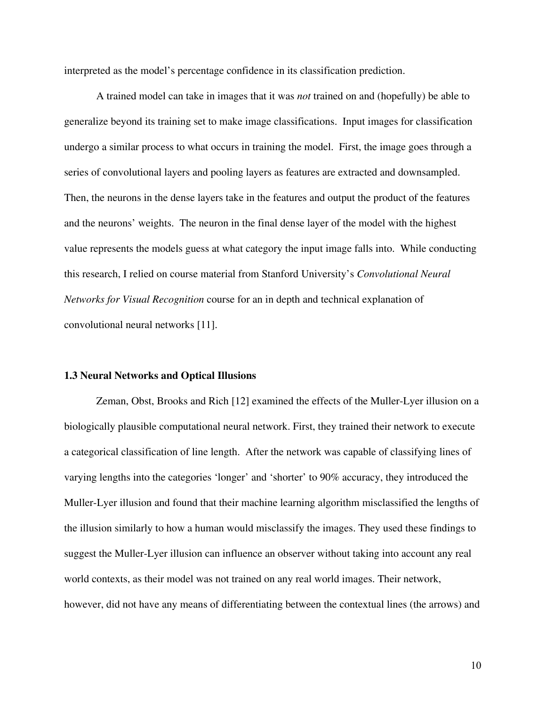interpreted as the model's percentage confidence in its classification prediction.

A trained model can take in images that it was *not* trained on and (hopefully) be able to generalize beyond its training set to make image classifications. Input images for classification undergo a similar process to what occurs in training the model. First, the image goes through a series of convolutional layers and pooling layers as features are extracted and downsampled. Then, the neurons in the dense layers take in the features and output the product of the features and the neurons' weights. The neuron in the final dense layer of the model with the highest value represents the models guess at what category the input image falls into. While conducting this research, I relied on course material from Stanford University's *Convolutional Neural Networks for Visual Recognition* course for an in depth and technical explanation of convolutional neural networks [11].

#### **1.3 Neural Networks and Optical Illusions**

Zeman, Obst, Brooks and Rich [12] examined the effects of the Muller-Lyer illusion on a biologically plausible computational neural network. First, they trained their network to execute a categorical classification of line length. After the network was capable of classifying lines of varying lengths into the categories 'longer' and 'shorter' to 90% accuracy, they introduced the Muller-Lyer illusion and found that their machine learning algorithm misclassified the lengths of the illusion similarly to how a human would misclassify the images. They used these findings to suggest the Muller-Lyer illusion can influence an observer without taking into account any real world contexts, as their model was not trained on any real world images. Their network, however, did not have any means of differentiating between the contextual lines (the arrows) and

10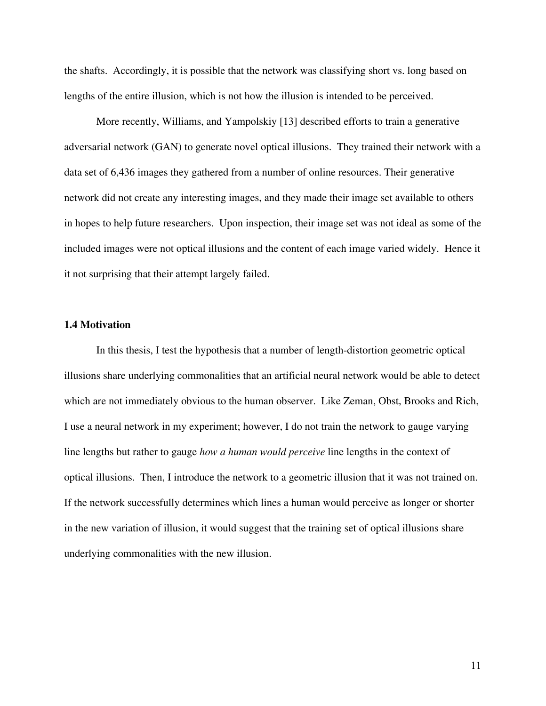the shafts. Accordingly, it is possible that the network was classifying short vs. long based on lengths of the entire illusion, which is not how the illusion is intended to be perceived.

More recently, Williams, and Yampolskiy [13] described efforts to train a generative adversarial network (GAN) to generate novel optical illusions. They trained their network with a data set of 6,436 images they gathered from a number of online resources. Their generative network did not create any interesting images, and they made their image set available to others in hopes to help future researchers. Upon inspection, their image set was not ideal as some of the included images were not optical illusions and the content of each image varied widely. Hence it it not surprising that their attempt largely failed.

#### **1.4 Motivation**

In this thesis, I test the hypothesis that a number of length-distortion geometric optical illusions share underlying commonalities that an artificial neural network would be able to detect which are not immediately obvious to the human observer. Like Zeman, Obst, Brooks and Rich, I use a neural network in my experiment; however, I do not train the network to gauge varying line lengths but rather to gauge *how a human would perceive* line lengths in the context of optical illusions. Then, I introduce the network to a geometric illusion that it was not trained on. If the network successfully determines which lines a human would perceive as longer or shorter in the new variation of illusion, it would suggest that the training set of optical illusions share underlying commonalities with the new illusion.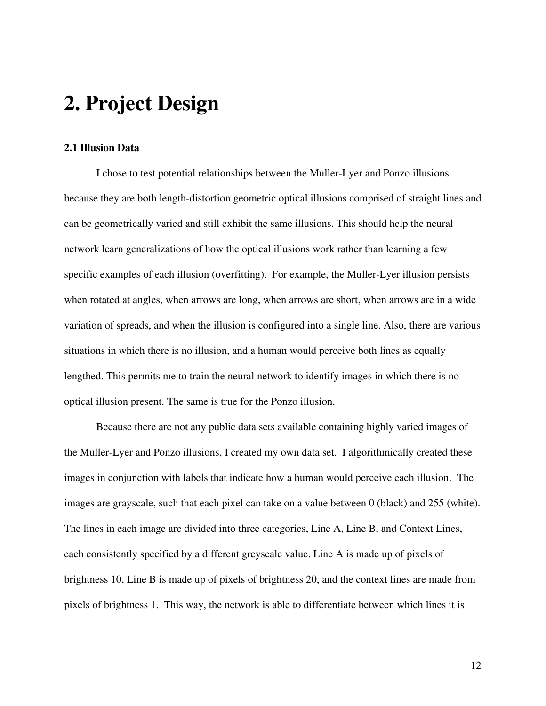### **2. Project Design**

#### **2.1 Illusion Data**

I chose to test potential relationships between the Muller-Lyer and Ponzo illusions because they are both length-distortion geometric optical illusions comprised of straight lines and can be geometrically varied and still exhibit the same illusions. This should help the neural network learn generalizations of how the optical illusions work rather than learning a few specific examples of each illusion (overfitting). For example, the Muller-Lyer illusion persists when rotated at angles, when arrows are long, when arrows are short, when arrows are in a wide variation of spreads, and when the illusion is configured into a single line. Also, there are various situations in which there is no illusion, and a human would perceive both lines as equally lengthed. This permits me to train the neural network to identify images in which there is no optical illusion present. The same is true for the Ponzo illusion.

Because there are not any public data sets available containing highly varied images of the Muller-Lyer and Ponzo illusions, I created my own data set. I algorithmically created these images in conjunction with labels that indicate how a human would perceive each illusion. The images are grayscale, such that each pixel can take on a value between 0 (black) and 255 (white). The lines in each image are divided into three categories, Line A, Line B, and Context Lines, each consistently specified by a different greyscale value. Line A is made up of pixels of brightness 10, Line B is made up of pixels of brightness 20, and the context lines are made from pixels of brightness 1. This way, the network is able to differentiate between which lines it is

12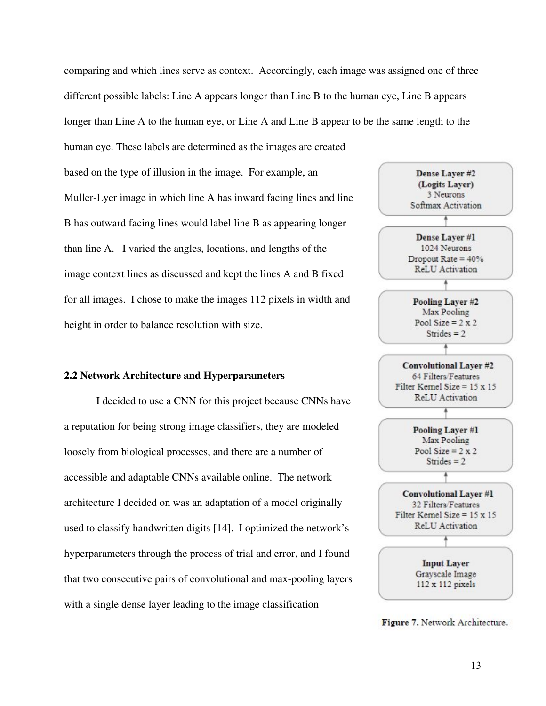comparing and which lines serve as context. Accordingly, each image was assigned one of three different possible labels: Line A appears longer than Line B to the human eye, Line B appears longer than Line A to the human eye, or Line A and Line B appear to be the same length to the

based on the type of illusion in the image. For example, an Muller-Lyer image in which line A has inward facing lines and line B has outward facing lines would label line B as appearing longer than line A. I varied the angles, locations, and lengths of the image context lines as discussed and kept the lines A and B fixed for all images. I chose to make the images 112 pixels in width and height in order to balance resolution with size.

human eye. These labels are determined as the images are created

#### **2.2 Network Architecture and Hyperparameters**

I decided to use a CNN for this project because CNNs have a reputation for being strong image classifiers, they are modeled loosely from biological processes, and there are a number of accessible and adaptable CNNs available online. The network architecture I decided on was an adaptation of a model originally used to classify handwritten digits [14]. I optimized the network's hyperparameters through the process of trial and error, and I found that two consecutive pairs of convolutional and max-pooling layers with a single dense layer leading to the image classification



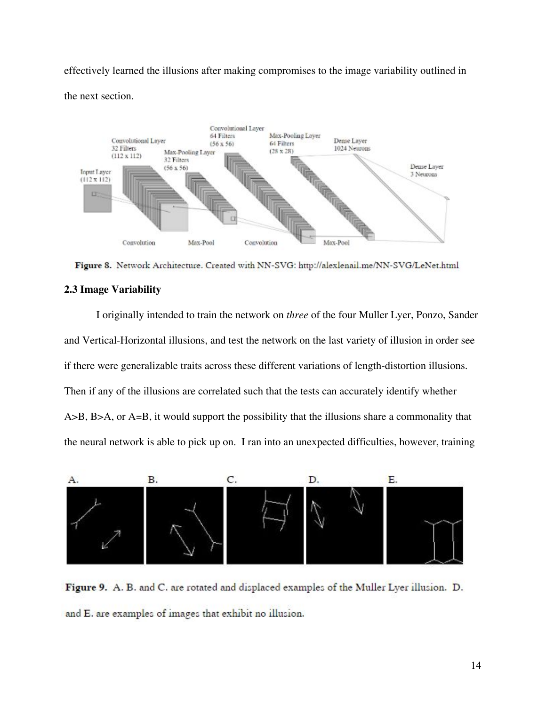effectively learned the illusions after making compromises to the image variability outlined in the next section.



Figure 8. Network Architecture. Created with NN-SVG: http://alexlenail.me/NN-SVG/LeNet.html

#### **2.3 Image Variability**

I originally intended to train the network on *three* of the four Muller Lyer, Ponzo, Sander and Vertical-Horizontal illusions, and test the network on the last variety of illusion in order see if there were generalizable traits across these different variations of length-distortion illusions. Then if any of the illusions are correlated such that the tests can accurately identify whether A>B, B>A, or A=B, it would support the possibility that the illusions share a commonality that the neural network is able to pick up on. I ran into an unexpected difficulties, however, training



Figure 9. A. B. and C. are rotated and displaced examples of the Muller Lyer illusion. D. and E. are examples of images that exhibit no illusion.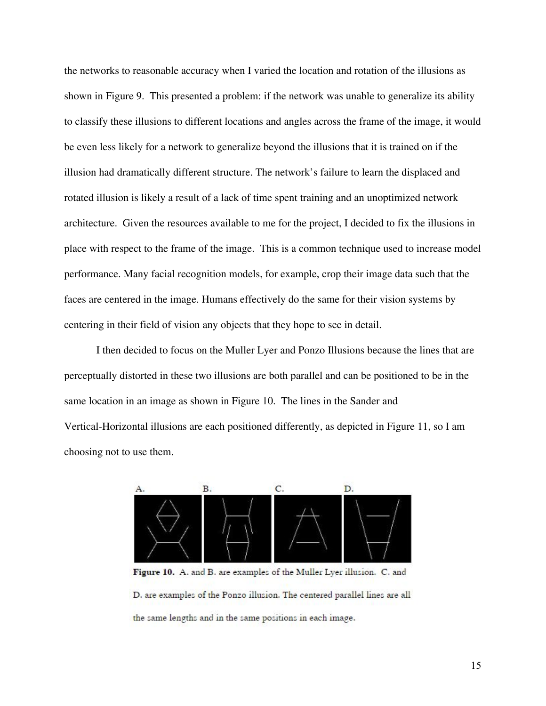the networks to reasonable accuracy when I varied the location and rotation of the illusions as shown in Figure 9. This presented a problem: if the network was unable to generalize its ability to classify these illusions to different locations and angles across the frame of the image, it would be even less likely for a network to generalize beyond the illusions that it is trained on if the illusion had dramatically different structure. The network's failure to learn the displaced and rotated illusion is likely a result of a lack of time spent training and an unoptimized network architecture. Given the resources available to me for the project, I decided to fix the illusions in place with respect to the frame of the image. This is a common technique used to increase model performance. Many facial recognition models, for example, crop their image data such that the faces are centered in the image. Humans effectively do the same for their vision systems by centering in their field of vision any objects that they hope to see in detail.

I then decided to focus on the Muller Lyer and Ponzo Illusions because the lines that are perceptually distorted in these two illusions are both parallel and can be positioned to be in the same location in an image as shown in Figure 10. The lines in the Sander and Vertical-Horizontal illusions are each positioned differently, as depicted in Figure 11, so I am choosing not to use them.



Figure 10. A. and B. are examples of the Muller Lyer illusion. C. and D. are examples of the Ponzo illusion. The centered parallel lines are all the same lengths and in the same positions in each image.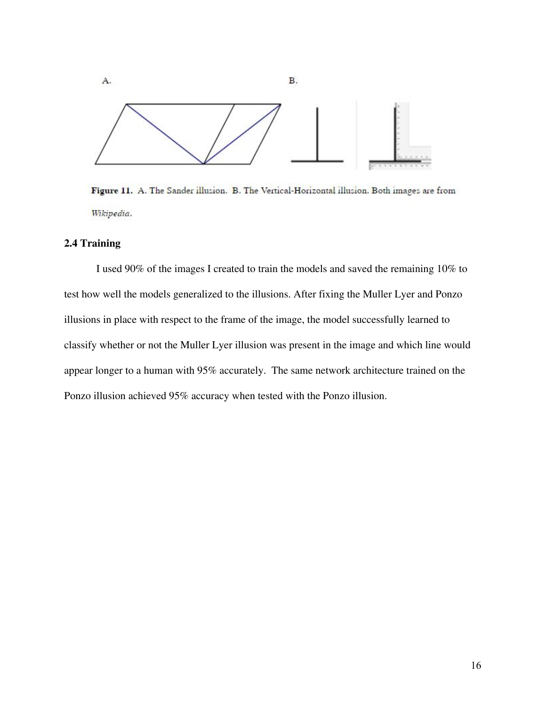

Figure 11. A. The Sander illusion. B. The Vertical-Horizontal illusion. Both images are from Wikipedia.

#### **2.4 Training**

I used 90% of the images I created to train the models and saved the remaining 10% to test how well the models generalized to the illusions. After fixing the Muller Lyer and Ponzo illusions in place with respect to the frame of the image, the model successfully learned to classify whether or not the Muller Lyer illusion was present in the image and which line would appear longer to a human with 95% accurately. The same network architecture trained on the Ponzo illusion achieved 95% accuracy when tested with the Ponzo illusion.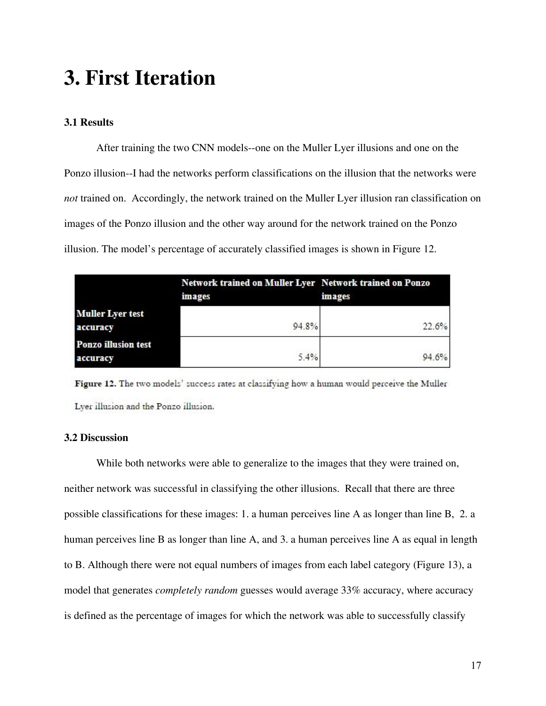### **3. First Iteration**

#### **3.1 Results**

After training the two CNN models--one on the Muller Lyer illusions and one on the Ponzo illusion--I had the networks perform classifications on the illusion that the networks were *not* trained on. Accordingly, the network trained on the Muller Lyer illusion ran classification on images of the Ponzo illusion and the other way around for the network trained on the Ponzo illusion. The model's percentage of accurately classified images is shown in Figure 12.

|                                        | Network trained on Muller Lyer Network trained on Ponzo<br>images | <i>images</i> |
|----------------------------------------|-------------------------------------------------------------------|---------------|
| <b>Muller Lyer test</b><br>accuracy    | 94.8%                                                             | 22.6%         |
| <b>Ponzo illusion test</b><br>accuracy | 5.4%                                                              | 94.6%         |

Figure 12. The two models' success rates at classifying how a human would perceive the Muller Lyer illusion and the Ponzo illusion.

#### **3.2 Discussion**

While both networks were able to generalize to the images that they were trained on, neither network was successful in classifying the other illusions. Recall that there are three possible classifications for these images: 1. a human perceives line A as longer than line B, 2. a human perceives line B as longer than line A, and 3. a human perceives line A as equal in length to B. Although there were not equal numbers of images from each label category (Figure 13), a model that generates *completely random* guesses would average 33% accuracy, where accuracy is defined as the percentage of images for which the network was able to successfully classify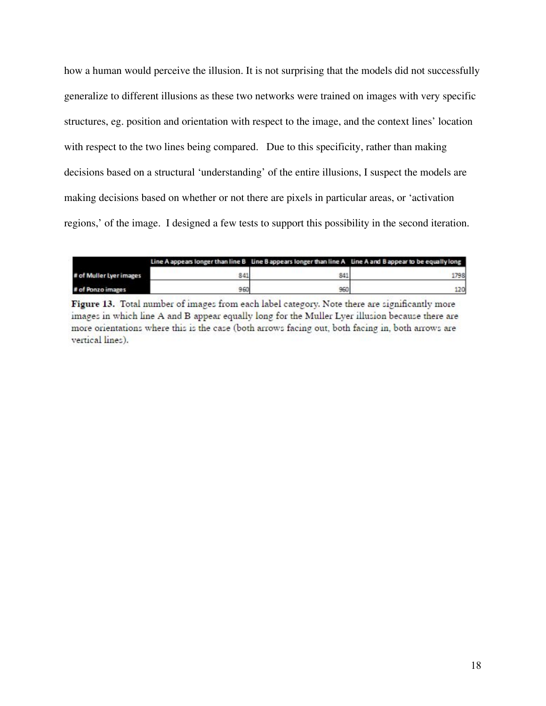how a human would perceive the illusion. It is not surprising that the models did not successfully generalize to different illusions as these two networks were trained on images with very specific structures, eg. position and orientation with respect to the image, and the context lines' location with respect to the two lines being compared. Due to this specificity, rather than making decisions based on a structural 'understanding' of the entire illusions, I suspect the models are making decisions based on whether or not there are pixels in particular areas, or 'activation regions,' of the image. I designed a few tests to support this possibility in the second iteration.

|                         |     |     | Line A appears longer than line B Line B appears longer than line A Line A and B appear to be equally long |
|-------------------------|-----|-----|------------------------------------------------------------------------------------------------------------|
| # of Muller Lyer images | 841 | 841 | 1798                                                                                                       |
| # of Ponzo images       | 960 | 960 |                                                                                                            |

Figure 13. Total number of images from each label category. Note there are significantly more images in which line A and B appear equally long for the Muller Lyer illusion because there are more orientations where this is the case (both arrows facing out, both facing in, both arrows are vertical lines).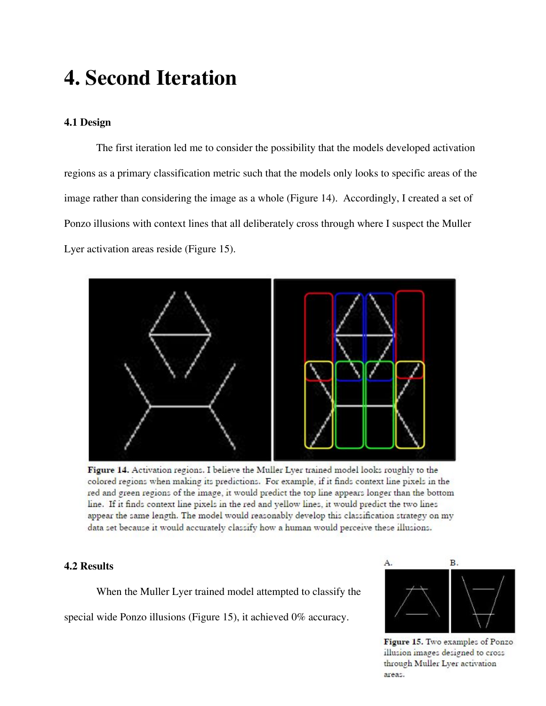### **4. Second Iteration**

#### **4.1 Design**

The first iteration led me to consider the possibility that the models developed activation regions as a primary classification metric such that the models only looks to specific areas of the image rather than considering the image as a whole (Figure 14). Accordingly, I created a set of Ponzo illusions with context lines that all deliberately cross through where I suspect the Muller Lyer activation areas reside (Figure 15).



Figure 14. Activation regions. I believe the Muller Lyer trained model looks roughly to the colored regions when making its predictions. For example, if it finds context line pixels in the red and green regions of the image, it would predict the top line appears longer than the bottom line. If it finds context line pixels in the red and yellow lines, it would predict the two lines appear the same length. The model would reasonably develop this classification strategy on my data set because it would accurately classify how a human would perceive these illusions.

#### **4.2 Results**

When the Muller Lyer trained model attempted to classify the special wide Ponzo illusions (Figure 15), it achieved 0% accuracy.



Figure 15. Two examples of Ponzo illusion images designed to cross through Muller Lyer activation areas.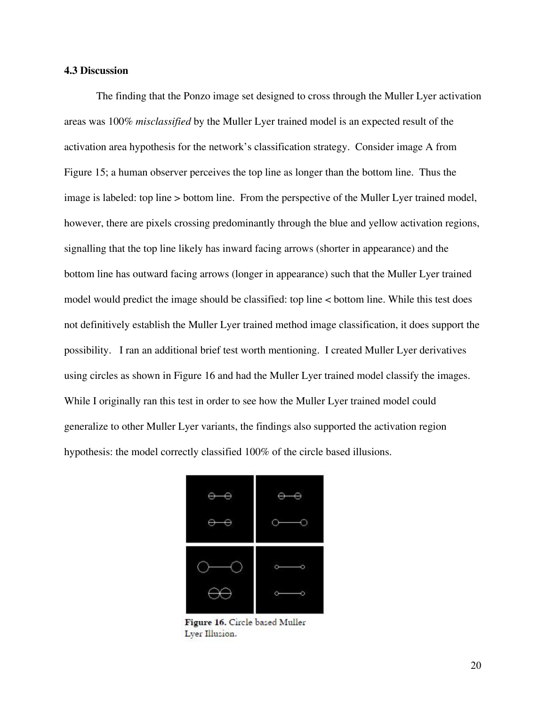#### **4.3 Discussion**

The finding that the Ponzo image set designed to cross through the Muller Lyer activation areas was 100% *misclassified* by the Muller Lyer trained model is an expected result of the activation area hypothesis for the network's classification strategy. Consider image A from Figure 15; a human observer perceives the top line as longer than the bottom line. Thus the image is labeled: top line > bottom line. From the perspective of the Muller Lyer trained model, however, there are pixels crossing predominantly through the blue and yellow activation regions, signalling that the top line likely has inward facing arrows (shorter in appearance) and the bottom line has outward facing arrows (longer in appearance) such that the Muller Lyer trained model would predict the image should be classified: top line < bottom line. While this test does not definitively establish the Muller Lyer trained method image classification, it does support the possibility. I ran an additional brief test worth mentioning. I created Muller Lyer derivatives using circles as shown in Figure 16 and had the Muller Lyer trained model classify the images. While I originally ran this test in order to see how the Muller Lyer trained model could generalize to other Muller Lyer variants, the findings also supported the activation region hypothesis: the model correctly classified 100% of the circle based illusions.



Figure 16. Circle based Muller Lyer Illusion.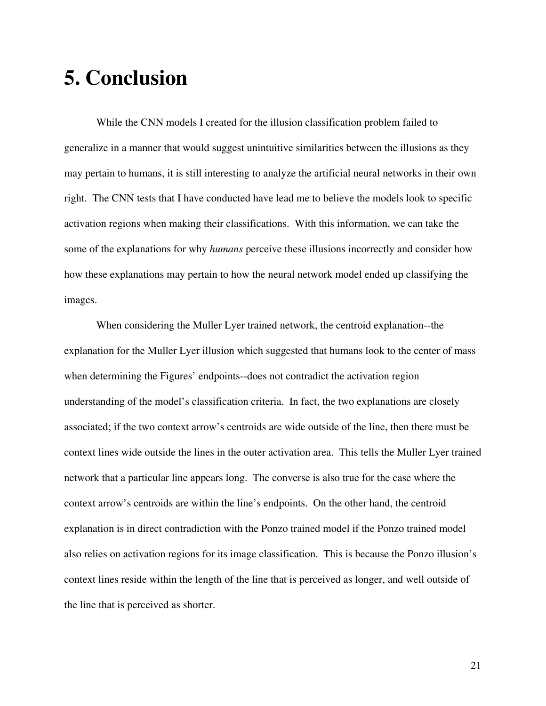### **5. Conclusion**

While the CNN models I created for the illusion classification problem failed to generalize in a manner that would suggest unintuitive similarities between the illusions as they may pertain to humans, it is still interesting to analyze the artificial neural networks in their own right. The CNN tests that I have conducted have lead me to believe the models look to specific activation regions when making their classifications. With this information, we can take the some of the explanations for why *humans* perceive these illusions incorrectly and consider how how these explanations may pertain to how the neural network model ended up classifying the images.

When considering the Muller Lyer trained network, the centroid explanation--the explanation for the Muller Lyer illusion which suggested that humans look to the center of mass when determining the Figures' endpoints--does not contradict the activation region understanding of the model's classification criteria. In fact, the two explanations are closely associated; if the two context arrow's centroids are wide outside of the line, then there must be context lines wide outside the lines in the outer activation area. This tells the Muller Lyer trained network that a particular line appears long. The converse is also true for the case where the context arrow's centroids are within the line's endpoints. On the other hand, the centroid explanation is in direct contradiction with the Ponzo trained model if the Ponzo trained model also relies on activation regions for its image classification. This is because the Ponzo illusion's context lines reside within the length of the line that is perceived as longer, and well outside of the line that is perceived as shorter.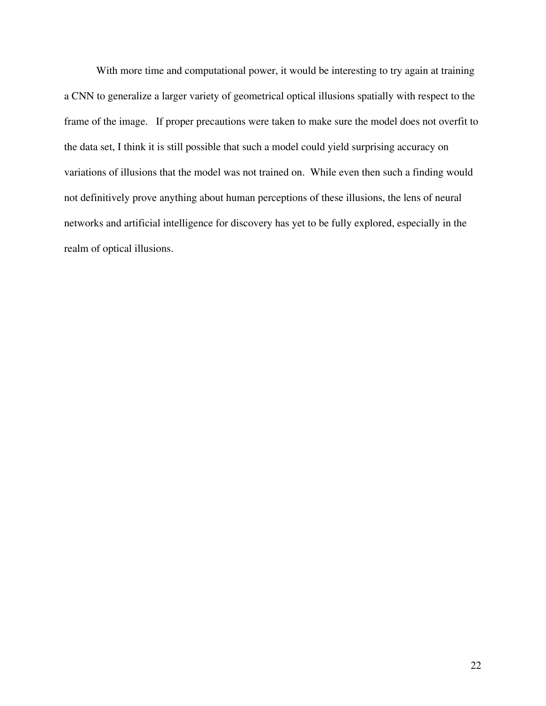With more time and computational power, it would be interesting to try again at training a CNN to generalize a larger variety of geometrical optical illusions spatially with respect to the frame of the image. If proper precautions were taken to make sure the model does not overfit to the data set, I think it is still possible that such a model could yield surprising accuracy on variations of illusions that the model was not trained on. While even then such a finding would not definitively prove anything about human perceptions of these illusions, the lens of neural networks and artificial intelligence for discovery has yet to be fully explored, especially in the realm of optical illusions.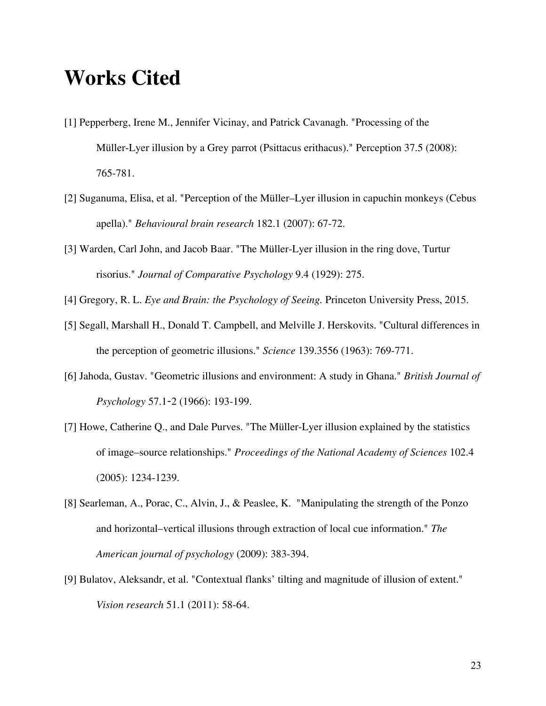### **Works Cited**

- [1] Pepperberg, Irene M., Jennifer Vicinay, and Patrick Cavanagh. "Processing of the Müller-Lyer illusion by a Grey parrot (Psittacus erithacus)." Perception 37.5 (2008): 765-781.
- [2] Suganuma, Elisa, et al. "Perception of the Müller–Lyer illusion in capuchin monkeys (Cebus apella)." *Behavioural brain research* 182.1 (2007): 67-72.
- [3] Warden, Carl John, and Jacob Baar. "The Müller-Lyer illusion in the ring dove, Turtur risorius." *Journal of Comparative Psychology* 9.4 (1929): 275.
- [4] Gregory, R. L. *Eye and Brain: the Psychology of Seeing.* Princeton University Press, 2015.
- [5] Segall, Marshall H., Donald T. Campbell, and Melville J. Herskovits. "Cultural differences in the perception of geometric illusions." *Science* 139.3556 (1963): 769-771.
- [6] Jahoda, Gustav. "Geometric illusions and environment: A study in Ghana." *British Journal of Psychology* 57.1-2 (1966): 193-199.
- [7] Howe, Catherine Q., and Dale Purves. "The Müller-Lyer illusion explained by the statistics of image–source relationships." *Proceedings of the National Academy of Sciences* 102.4 (2005): 1234-1239.
- [8] Searleman, A., Porac, C., Alvin, J., & Peaslee, K. "Manipulating the strength of the Ponzo and horizontal–vertical illusions through extraction of local cue information." *The American journal of psychology* (2009): 383-394.
- [9] Bulatov, Aleksandr, et al. "Contextual flanks' tilting and magnitude of illusion of extent." *Vision research* 51.1 (2011): 58-64.